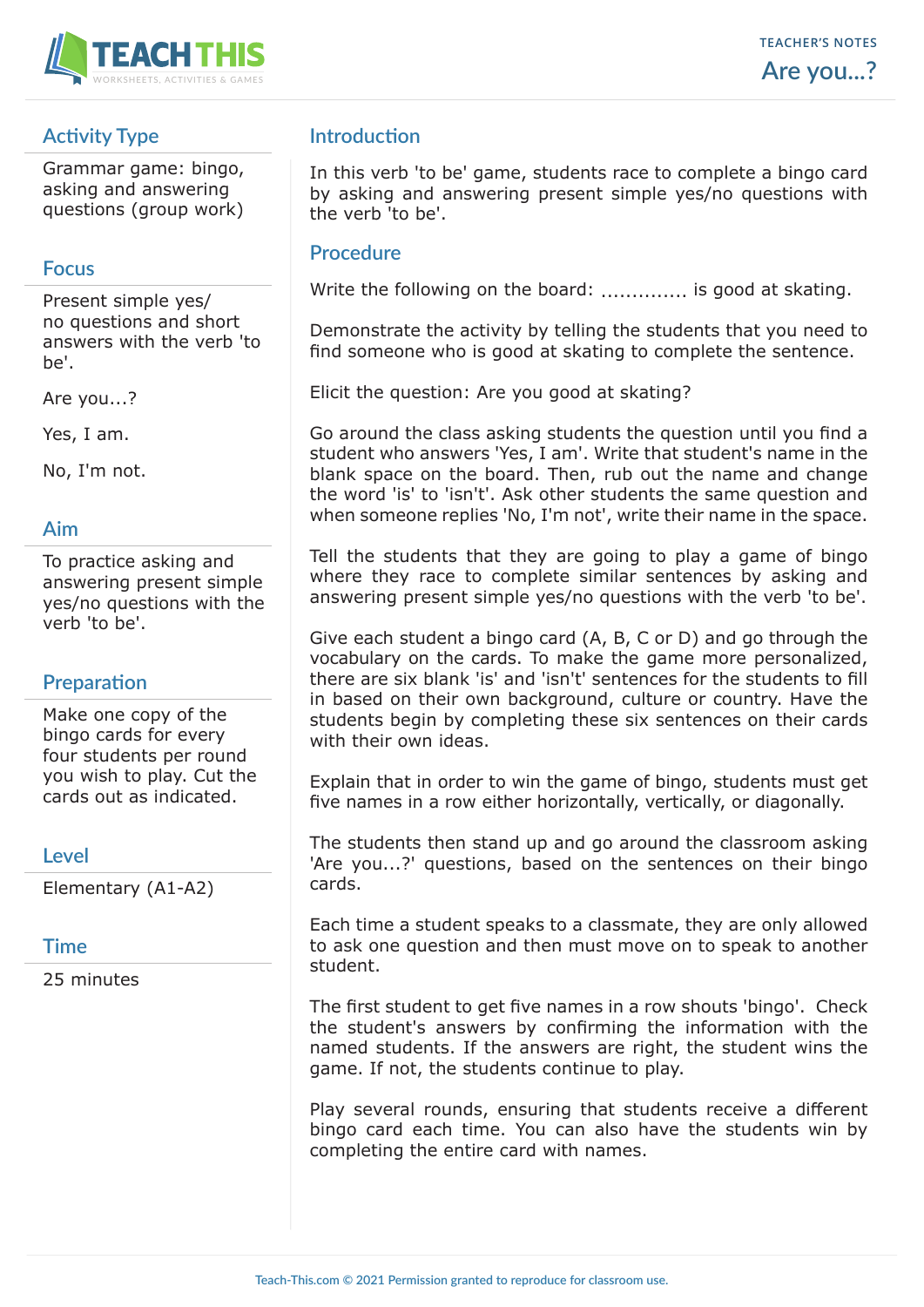

# **Activity Type**

Grammar game: bingo, asking and answering questions (group work)

## **Focus**

Present simple yes/ no questions and short answers with the verb 'to be'.

Are you...?

Yes, I am.

No, I'm not.

## **Aim**

To practice asking and answering present simple yes/no questions with the verb 'to be'.

## **Preparation**

Make one copy of the bingo cards for every four students per round you wish to play. Cut the cards out as indicated.

#### **Level**

Elementary (A1-A2)

#### **Time**

25 minutes

## **Introduction**

In this verb 'to be' game, students race to complete a bingo card by asking and answering present simple yes/no questions with the verb 'to be'.

#### **Procedure**

Write the following on the board: ................ is good at skating.

Demonstrate the activity by telling the students that you need to find someone who is good at skating to complete the sentence.

Elicit the question: Are you good at skating?

Go around the class asking students the question until you find a student who answers 'Yes, I am'. Write that student's name in the blank space on the board. Then, rub out the name and change the word 'is' to 'isn't'. Ask other students the same question and when someone replies 'No, I'm not', write their name in the space.

Tell the students that they are going to play a game of bingo where they race to complete similar sentences by asking and answering present simple yes/no questions with the verb 'to be'.

Give each student a bingo card (A, B, C or D) and go through the vocabulary on the cards. To make the game more personalized, there are six blank 'is' and 'isn't' sentences for the students to fill in based on their own background, culture or country. Have the students begin by completing these six sentences on their cards with their own ideas.

Explain that in order to win the game of bingo, students must get five names in a row either horizontally, vertically, or diagonally.

The students then stand up and go around the classroom asking 'Are you...?' questions, based on the sentences on their bingo cards.

Each time a student speaks to a classmate, they are only allowed to ask one question and then must move on to speak to another student.

The first student to get five names in a row shouts 'bingo'. Check the student's answers by confirming the information with the named students. If the answers are right, the student wins the game. If not, the students continue to play.

Play several rounds, ensuring that students receive a different bingo card each time. You can also have the students win by completing the entire card with names.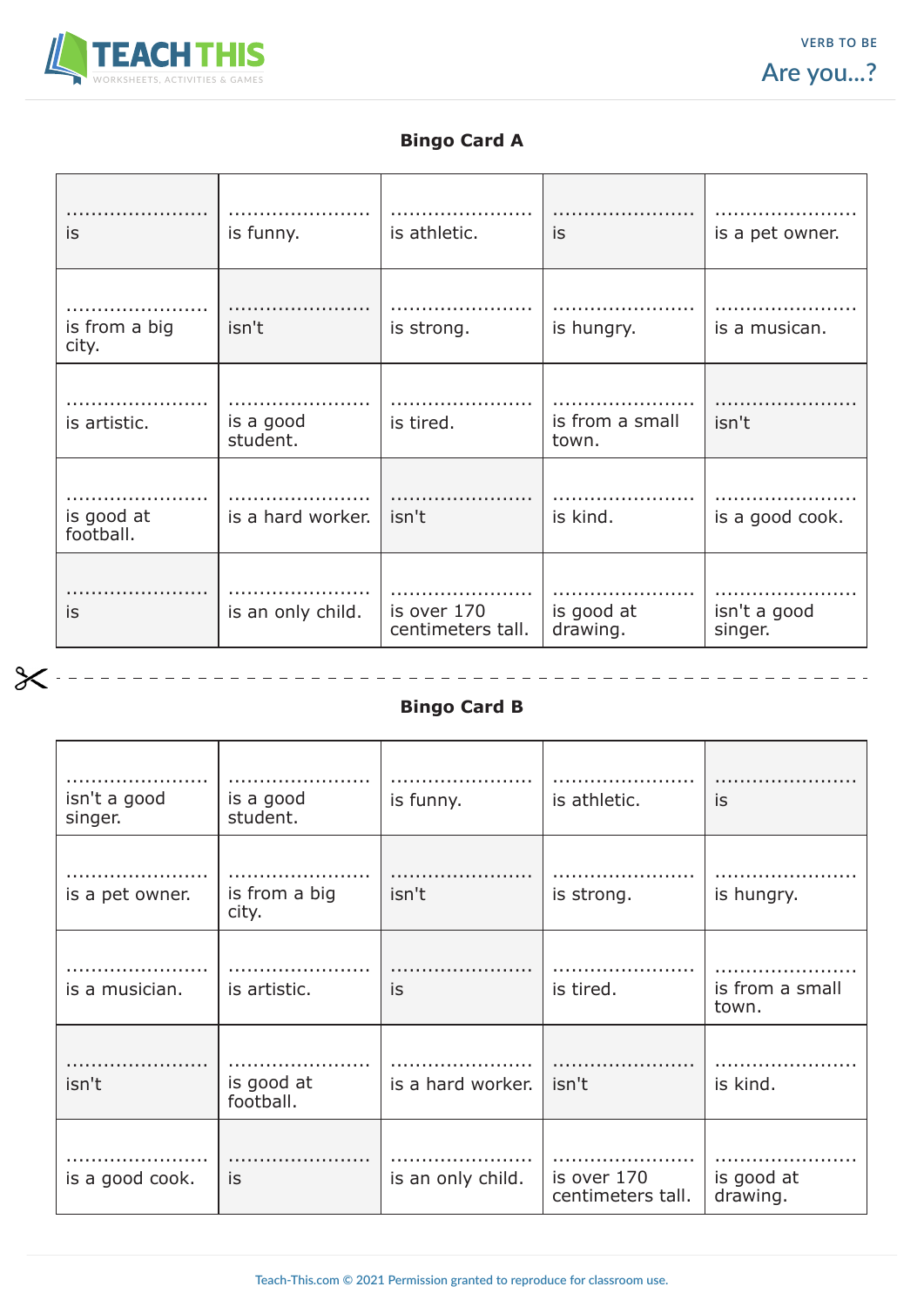

 $\chi$ 

 $\equiv$ 

## **Bingo Card A**

| is                      | is funny.             | is athletic.                     | is                       | is a pet owner.         |
|-------------------------|-----------------------|----------------------------------|--------------------------|-------------------------|
| is from a big<br>city.  | isn't                 | is strong.                       | is hungry.               | is a musican.           |
| is artistic.            | is a good<br>student. | is tired.                        | is from a small<br>town. | isn't                   |
| is good at<br>football. | is a hard worker.     | isn't                            | is kind.                 | is a good cook.         |
| is                      | is an only child.     | is over 170<br>centimeters tall. | is good at<br>drawing.   | isn't a good<br>singer. |

## **Bingo Card B**

\_\_\_\_\_\_\_\_\_\_\_\_\_\_\_\_\_\_\_\_\_\_\_\_\_

| isn't a good<br>singer. | is a good<br>student.   | is funny.         | is athletic.                     | is                       |
|-------------------------|-------------------------|-------------------|----------------------------------|--------------------------|
| is a pet owner.         | is from a big<br>city.  | isn't             | is strong.                       | is hungry.               |
| is a musician.          | is artistic.            | is                | is tired.                        | is from a small<br>town. |
| isn't                   | is good at<br>football. | is a hard worker. | isn't                            | is kind.                 |
| is a good cook.         | is                      | is an only child. | is over 170<br>centimeters tall. | is good at<br>drawing.   |